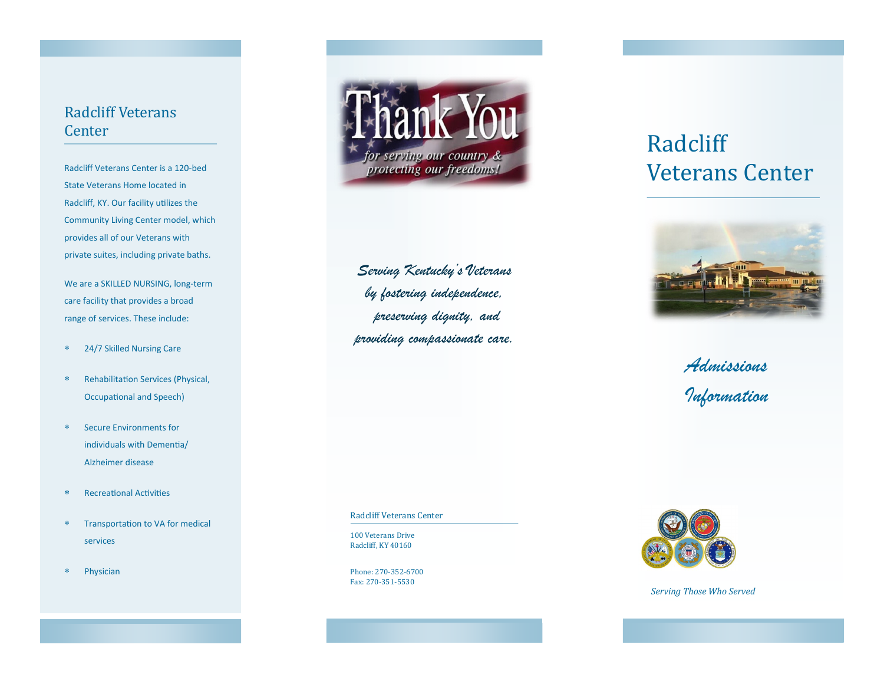## Radcliff Veterans Center

Radcliff Veterans Center is a 120-bed State Veterans Home located in Radcliff, KY. Our facility utilizes the Community Living Center model, which provides all of our Veterans with private suites, including private baths.

We are a SKILLED NURSING, long-term care facility that provides a broad range of services. These include:

- 24/7 Skilled Nursing Care
- Rehabilitation Services (Physical, Occupational and Speech)
- Secure Environments for individuals with Dementia/ Alzheimer disease
- Recreational Activities
- Transportation to VA for medical services
- Physician



*Serving Kentucky's Veterans by fostering independence, preserving dignity, and providing compassionate care.*

Radcliff Veterans Center

100 Veterans Drive Radcliff, KY 40160

Phone: 270-352-6700 Fax: 270-351-5530

# Radcliff Veterans Center



*Admissions Information*



*Serving Those Who Served*